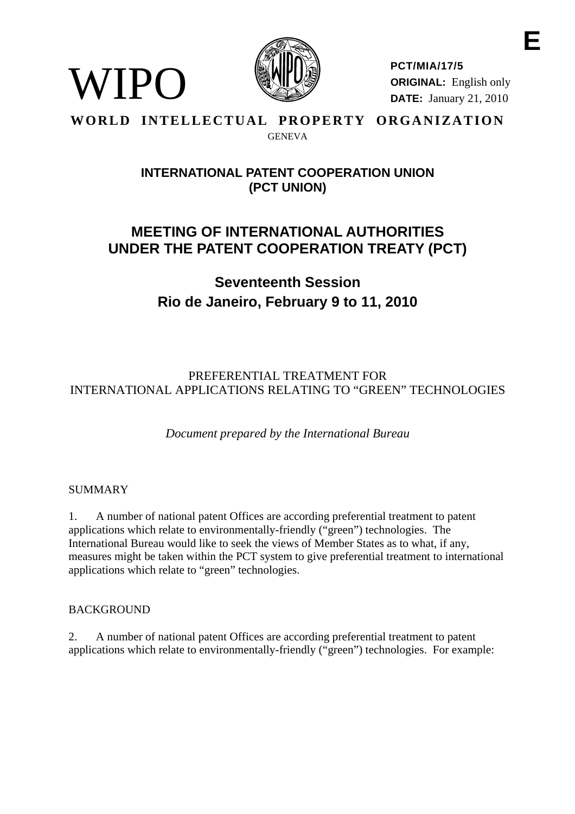

**PCT/MIA/17/5 ORIGINAL:** English only **DATE:** January 21, 2010

#### **WORLD INTELLECTUAL PROPERTY ORGANIZATION GENEVA**

# **INTERNATIONAL PATENT COOPERATION UNION (PCT UNION)**

# **MEETING OF INTERNATIONAL AUTHORITIES UNDER THE PATENT COOPERATION TREATY (PCT)**

**Seventeenth Session Rio de Janeiro, February 9 to 11, 2010** 

# PREFERENTIAL TREATMENT FOR INTERNATIONAL APPLICATIONS RELATING TO "GREEN" TECHNOLOGIES

*Document prepared by the International Bureau* 

## SUMMARY

WIPO

1. A number of national patent Offices are according preferential treatment to patent applications which relate to environmentally-friendly ("green") technologies. The International Bureau would like to seek the views of Member States as to what, if any, measures might be taken within the PCT system to give preferential treatment to international applications which relate to "green" technologies.

## BACKGROUND

2. A number of national patent Offices are according preferential treatment to patent applications which relate to environmentally-friendly ("green") technologies. For example: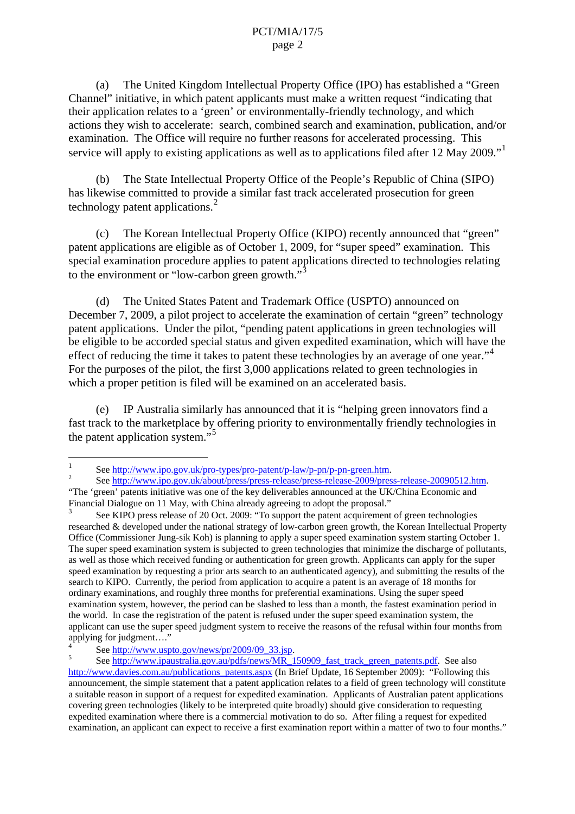(a) The United Kingdom Intellectual Property Office (IPO) has established a "Green Channel" initiative, in which patent applicants must make a written request "indicating that their application relates to a 'green' or environmentally-friendly technology, and which actions they wish to accelerate: search, combined search and examination, publication, and/or examination. The Office will require no further reasons for accelerated processing. This service will apply to existing applications as well as to applications filed after [1](#page-1-0)2 May 2009."

 (b) The State Intellectual Property Office of the People's Republic of China (SIPO) has likewise committed to provide a similar fast track accelerated prosecution for green technology patent applications.<sup>[2](#page-1-1)</sup>

 (c) The Korean Intellectual Property Office (KIPO) recently announced that "green" patent applications are eligible as of October 1, 2009, for "super speed" examination. This special examination procedure applies to patent applications directed to technologies relating to the environment or "low-carbon green growth."

 (d) The United States Patent and Trademark Office (USPTO) announced on December 7, 2009, a pilot project to accelerate the examination of certain "green" technology patent applications. Under the pilot, "pending patent applications in green technologies will be eligible to be accorded special status and given expedited examination, which will have the effect of reducing the time it takes to patent these technologies by an average of one year."<sup>[4](#page-1-3)</sup> For the purposes of the pilot, the first 3,000 applications related to green technologies in which a proper petition is filed will be examined on an accelerated basis.

 (e) IP Australia similarly has announced that it is "helping green innovators find a fast track to the marketplace by offering priority to environmentally friendly technologies in the patent application system."<sup>[5](#page-1-4)</sup>

 $\frac{1}{1}$ See [http://www.ipo.gov.uk/pro-types/pro-patent/p-law/p-pn/p-pn-green.htm.](http://www.ipo.gov.uk/pro-types/pro-patent/p-law/p-pn/p-pn-green.htm) <sup>2</sup>

<span id="page-1-1"></span><span id="page-1-0"></span>See<http://www.ipo.gov.uk/about/press/press-release/press-release-2009/press-release-20090512.htm>. "The 'green' patents initiative was one of the key deliverables announced at the UK/China Economic and Financial Dialogue on 11 May, with China already agreeing to adopt the proposal."

<span id="page-1-2"></span><sup>3</sup> See KIPO press release of 20 Oct. 2009: "To support the patent acquirement of green technologies researched & developed under the national strategy of low-carbon green growth, the Korean Intellectual Property Office (Commissioner Jung-sik Koh) is planning to apply a super speed examination system starting October 1. The super speed examination system is subjected to green technologies that minimize the discharge of pollutants, as well as those which received funding or authentication for green growth. Applicants can apply for the super speed examination by requesting a prior arts search to an authenticated agency), and submitting the results of the search to KIPO. Currently, the period from application to acquire a patent is an average of 18 months for ordinary examinations, and roughly three months for preferential examinations. Using the super speed examination system, however, the period can be slashed to less than a month, the fastest examination period in the world. In case the registration of the patent is refused under the super speed examination system, the applicant can use the super speed judgment system to receive the reasons of the refusal within four months from applying for judgment…."

<sup>4</sup> See [http://www.uspto.gov/news/pr/2009/09\\_33.jsp.](http://www.uspto.gov/news/pr/2009/09_33.jsp)

<span id="page-1-4"></span><span id="page-1-3"></span><sup>5</sup> See [http://www.ipaustralia.gov.au/pdfs/news/MR\\_150909\\_fast\\_track\\_green\\_patents.pdf.](http://www.ipaustralia.gov.au/pdfs/news/MR_150909_fast_track_green_patents.pdf) See also [http://www.davies.com.au/publications\\_patents.aspx](http://www.davies.com.au/publications_patents.aspx) (In Brief Update, 16 September 2009): "Following this announcement, the simple statement that a patent application relates to a field of green technology will constitute a suitable reason in support of a request for expedited examination. Applicants of Australian patent applications covering green technologies (likely to be interpreted quite broadly) should give consideration to requesting expedited examination where there is a commercial motivation to do so. After filing a request for expedited examination, an applicant can expect to receive a first examination report within a matter of two to four months."